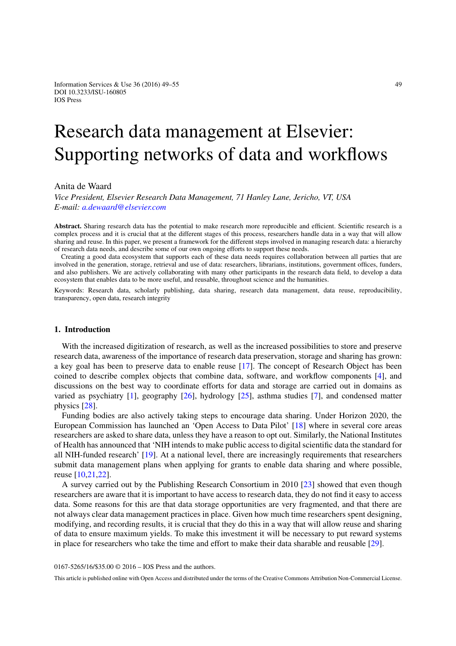Information Services & Use  $36(2016)$  49–55  $49$ DOI 10.3233/ISU-160805 IOS Press

# Research data management at Elsevier: Supporting networks of data and workflows

# Anita de Waard

*Vice President, Elsevier Research Data Management, 71 Hanley Lane, Jericho, VT, USA E-mail: [a.dewaard@elsevier.com](mailto:a.dewaard@elsevier.com)*

**Abstract.** Sharing research data has the potential to make research more reproducible and efficient. Scientific research is a complex process and it is crucial that at the different stages of this process, researchers handle data in a way that will allow sharing and reuse. In this paper, we present a framework for the different steps involved in managing research data: a hierarchy of research data needs, and describe some of our own ongoing efforts to support these needs.

Creating a good data ecosystem that supports each of these data needs requires collaboration between all parties that are involved in the generation, storage, retrieval and use of data: researchers, librarians, institutions, government offices, funders, and also publishers. We are actively collaborating with many other participants in the research data field, to develop a data ecosystem that enables data to be more useful, and reusable, throughout science and the humanities.

Keywords: Research data, scholarly publishing, data sharing, research data management, data reuse, reproducibility, transparency, open data, research integrity

# **1. Introduction**

With the increased digitization of research, as well as the increased possibilities to store and preserve research data, awareness of the importance of research data preservation, storage and sharing has grown: a key goal has been to preserve data to enable reuse [\[17](#page-6-0)]. The concept of Research Object has been coined to describe complex objects that combine data, software, and workflow components [\[4](#page-5-0)], and discussions on the best way to coordinate efforts for data and storage are carried out in domains as varied as psychiatry [\[1\]](#page-5-1), geography [\[26\]](#page-6-1), hydrology [\[25](#page-6-2)], asthma studies [\[7](#page-5-2)], and condensed matter physics [\[28](#page-6-3)].

Funding bodies are also actively taking steps to encourage data sharing. Under Horizon 2020, the European Commission has launched an 'Open Access to Data Pilot' [\[18](#page-6-4)] where in several core areas researchers are asked to share data, unless they have a reason to opt out. Similarly, the National Institutes of Health has announced that 'NIH intends to make public access to digital scientific data the standard for all NIH-funded research' [\[19\]](#page-6-5). At a national level, there are increasingly requirements that researchers submit data management plans when applying for grants to enable data sharing and where possible, reuse [\[10](#page-5-3)[,21](#page-6-6)[,22\]](#page-6-7).

A survey carried out by the Publishing Research Consortium in 2010 [\[23](#page-6-8)] showed that even though researchers are aware that it is important to have access to research data, they do not find it easy to access data. Some reasons for this are that data storage opportunities are very fragmented, and that there are not always clear data management practices in place. Given how much time researchers spent designing, modifying, and recording results, it is crucial that they do this in a way that will allow reuse and sharing of data to ensure maximum yields. To make this investment it will be necessary to put reward systems in place for researchers who take the time and effort to make their data sharable and reusable [\[29\]](#page-6-9).

0167-5265/16/\$35.00 © 2016 – IOS Press and the authors.

This article is published online with Open Access and distributed under the terms of the Creative Commons Attribution Non-Commercial License.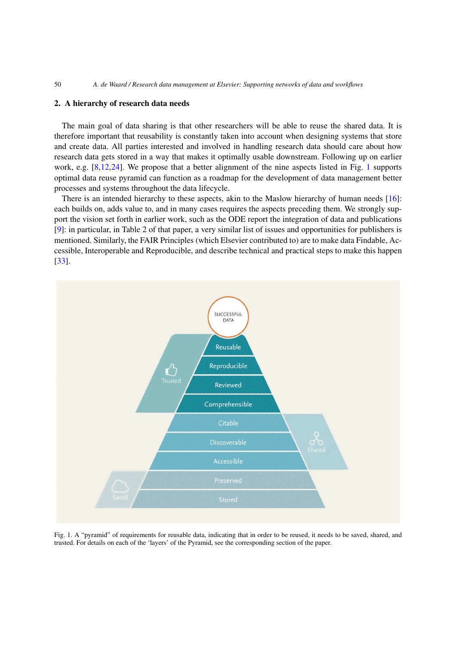# **2. A hierarchy of research data needs**

The main goal of data sharing is that other researchers will be able to reuse the shared data. It is therefore important that reusability is constantly taken into account when designing systems that store and create data. All parties interested and involved in handling research data should care about how research data gets stored in a way that makes it optimally usable downstream. Following up on earlier work, e.g. [\[8](#page-5-4)[,12](#page-5-5)[,24](#page-6-10)]. We propose that a better alignment of the nine aspects listed in Fig. [1](#page-1-0) supports optimal data reuse pyramid can function as a roadmap for the development of data management better processes and systems throughout the data lifecycle.

There is an intended hierarchy to these aspects, akin to the Maslow hierarchy of human needs [\[16\]](#page-6-11): each builds on, adds value to, and in many cases requires the aspects preceding them. We strongly support the vision set forth in earlier work, such as the ODE report the integration of data and publications [\[9\]](#page-5-6): in particular, in Table 2 of that paper, a very similar list of issues and opportunities for publishers is mentioned. Similarly, the FAIR Principles (which Elsevier contributed to) are to make data Findable, Accessible, Interoperable and Reproducible, and describe technical and practical steps to make this happen [\[33](#page-6-12)].



<span id="page-1-0"></span>Fig. 1. A "pyramid" of requirements for reusable data, indicating that in order to be reused, it needs to be saved, shared, and trusted. For details on each of the 'layers' of the Pyramid, see the corresponding section of the paper.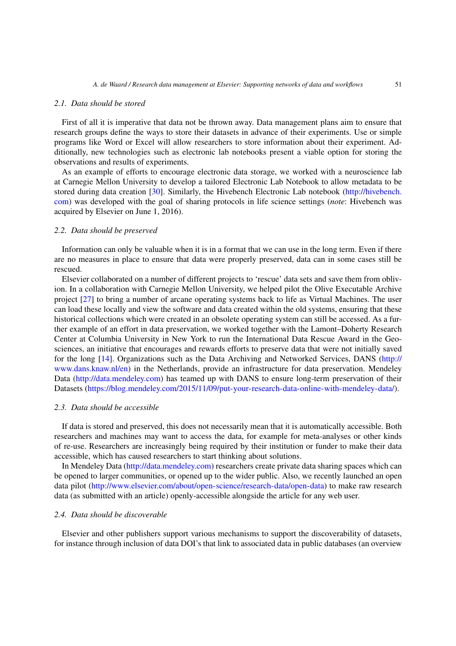#### *2.1. Data should be stored*

First of all it is imperative that data not be thrown away. Data management plans aim to ensure that research groups define the ways to store their datasets in advance of their experiments. Use or simple programs like Word or Excel will allow researchers to store information about their experiment. Additionally, new technologies such as electronic lab notebooks present a viable option for storing the observations and results of experiments.

As an example of efforts to encourage electronic data storage, we worked with a neuroscience lab at Carnegie Mellon University to develop a tailored Electronic Lab Notebook to allow metadata to be stored during data creation [\[30](#page-6-13)]. Similarly, the Hivebench Electronic Lab notebook [\(http://hivebench.](http://hivebench.com) [com\)](http://hivebench.com) was developed with the goal of sharing protocols in life science settings (*note*: Hivebench was acquired by Elsevier on June 1, 2016).

# *2.2. Data should be preserved*

Information can only be valuable when it is in a format that we can use in the long term. Even if there are no measures in place to ensure that data were properly preserved, data can in some cases still be rescued.

Elsevier collaborated on a number of different projects to 'rescue' data sets and save them from oblivion. In a collaboration with Carnegie Mellon University, we helped pilot the Olive Executable Archive project [\[27](#page-6-14)] to bring a number of arcane operating systems back to life as Virtual Machines. The user can load these locally and view the software and data created within the old systems, ensuring that these historical collections which were created in an obsolete operating system can still be accessed. As a further example of an effort in data preservation, we worked together with the Lamont–Doherty Research Center at Columbia University in New York to run the International Data Rescue Award in the Geosciences, an initiative that encourages and rewards efforts to preserve data that were not initially saved for the long [\[14\]](#page-6-15). Organizations such as the Data Archiving and Networked Services, DANS [\(http://](http://www.dans.knaw.nl/en) [www.dans.knaw.nl/en\)](http://www.dans.knaw.nl/en) in the Netherlands, provide an infrastructure for data preservation. Mendeley Data [\(http://data.mendeley.com\)](http://data.mendeley.com) has teamed up with DANS to ensure long-term preservation of their Datasets [\(https://blog.mendeley.com/2015/11/09/put-your-research-data-online-with-mendeley-data/\)](https://blog.mendeley.com/2015/11/09/put-your-research-data-online-with-mendeley-data/).

# *2.3. Data should be accessible*

If data is stored and preserved, this does not necessarily mean that it is automatically accessible. Both researchers and machines may want to access the data, for example for meta-analyses or other kinds of re-use. Researchers are increasingly being required by their institution or funder to make their data accessible, which has caused researchers to start thinking about solutions.

In Mendeley Data [\(http://data.mendeley.com\)](http://data.mendeley.com) researchers create private data sharing spaces which can be opened to larger communities, or opened up to the wider public. Also, we recently launched an open data pilot [\(http://www.elsevier.com/about/open-science/research-data/open-data\)](http://www.elsevier.com/about/open-science/research-data/open-data) to make raw research data (as submitted with an article) openly-accessible alongside the article for any web user.

# *2.4. Data should be discoverable*

Elsevier and other publishers support various mechanisms to support the discoverability of datasets, for instance through inclusion of data DOI's that link to associated data in public databases (an overview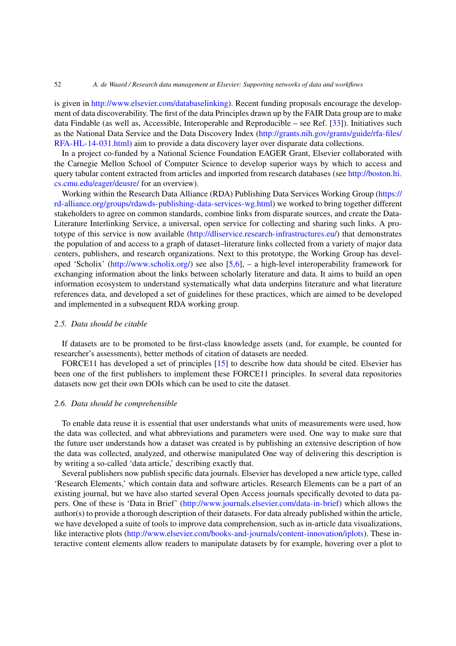#### 52 *A. de Waard / Research data management at Elsevier: Supporting networks of data and workflows*

is given in [http://www.elsevier.com/databaselinking\)](http://www.elsevier.com/databaselinking). Recent funding proposals encourage the development of data discoverability. The first of the data Principles drawn up by the FAIR Data group are to make data Findable (as well as, Accessible, Interoperable and Reproducible – see Ref. [\[33\]](#page-6-12)). Initiatives such as the National Data Service and the Data Discovery Index [\(http://grants.nih.gov/grants/guide/rfa-files/](http://grants.nih.gov/grants/guide/rfa-files/RFA-HL-14-031.html) [RFA-HL-14-031.html\)](http://grants.nih.gov/grants/guide/rfa-files/RFA-HL-14-031.html) aim to provide a data discovery layer over disparate data collections.

In a project co-funded by a National Science Foundation EAGER Grant, Elsevier collaborated with the Carnegie Mellon School of Computer Science to develop superior ways by which to access and query tabular content extracted from articles and imported from research databases (see [http://boston.lti.](http://boston.lti.cs.cmu.edu/eager/deusre/) [cs.cmu.edu/eager/deusre/](http://boston.lti.cs.cmu.edu/eager/deusre/) for an overview).

Working within the Research Data Alliance (RDA) Publishing Data Services Working Group [\(https://](https://rd-alliance.org/groups/rdawds-publishing-data-services-wg.html) [rd-alliance.org/groups/rdawds-publishing-data-services-wg.html\)](https://rd-alliance.org/groups/rdawds-publishing-data-services-wg.html) we worked to bring together different stakeholders to agree on common standards, combine links from disparate sources, and create the Data-Literature Interlinking Service, a universal, open service for collecting and sharing such links. A prototype of this service is now available [\(http://dliservice.research-infrastructures.eu/\)](http://dliservice.research-infrastructures.eu/) that demonstrates the population of and access to a graph of dataset–literature links collected from a variety of major data centers, publishers, and research organizations. Next to this prototype, the Working Group has developed 'Scholix' [\(http://www.scholix.org/\)](http://www.scholix.org/) see also [\[5](#page-5-7)[,6](#page-5-8)], – a high-level interoperability framework for exchanging information about the links between scholarly literature and data. It aims to build an open information ecosystem to understand systematically what data underpins literature and what literature references data, and developed a set of guidelines for these practices, which are aimed to be developed and implemented in a subsequent RDA working group.

# *2.5. Data should be citable*

If datasets are to be promoted to be first-class knowledge assets (and, for example, be counted for researcher's assessments), better methods of citation of datasets are needed.

FORCE11 has developed a set of principles [\[15](#page-6-16)] to describe how data should be cited. Elsevier has been one of the first publishers to implement these FORCE11 principles. In several data repositories datasets now get their own DOIs which can be used to cite the dataset.

# *2.6. Data should be comprehensible*

To enable data reuse it is essential that user understands what units of measurements were used, how the data was collected, and what abbreviations and parameters were used. One way to make sure that the future user understands how a dataset was created is by publishing an extensive description of how the data was collected, analyzed, and otherwise manipulated One way of delivering this description is by writing a so-called 'data article,' describing exactly that.

Several publishers now publish specific data journals. Elsevier has developed a new article type, called 'Research Elements,' which contain data and software articles. Research Elements can be a part of an existing journal, but we have also started several Open Access journals specifically devoted to data papers. One of these is 'Data in Brief' [\(http://www.journals.elsevier.com/data-in-brief\)](http://www.journals.elsevier.com/data-in-brief) which allows the author(s) to provide a thorough description of their datasets. For data already published within the article, we have developed a suite of tools to improve data comprehension, such as in-article data visualizations, like interactive plots [\(http://www.elsevier.com/books-and-journals/content-innovation/iplots\)](http://www.elsevier.com/books-and-journals/content-innovation/iplots). These interactive content elements allow readers to manipulate datasets by for example, hovering over a plot to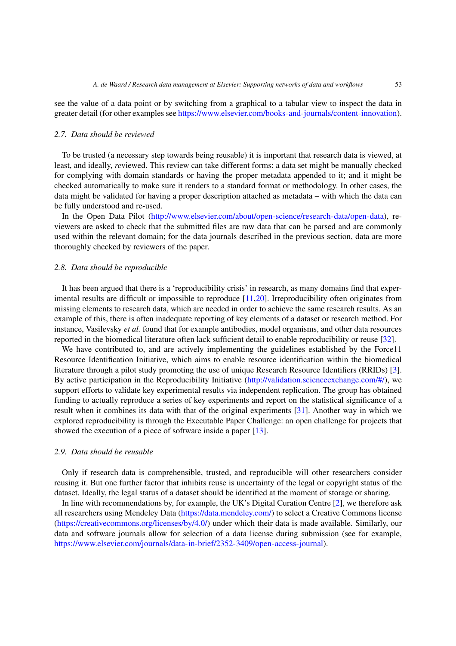see the value of a data point or by switching from a graphical to a tabular view to inspect the data in greater detail (for other examples see [https://www.elsevier.com/books-and-journals/content-innovation\)](https://www.elsevier.com/books-and-journals/content-innovation).

# *2.7. Data should be reviewed*

To be trusted (a necessary step towards being reusable) it is important that research data is viewed, at least, and ideally, *re*viewed. This review can take different forms: a data set might be manually checked for complying with domain standards or having the proper metadata appended to it; and it might be checked automatically to make sure it renders to a standard format or methodology. In other cases, the data might be validated for having a proper description attached as metadata – with which the data can be fully understood and re-used.

In the Open Data Pilot [\(http://www.elsevier.com/about/open-science/research-data/open-data\)](http://www.elsevier.com/about/open-science/research-data/open-data), reviewers are asked to check that the submitted files are raw data that can be parsed and are commonly used within the relevant domain; for the data journals described in the previous section, data are more thoroughly checked by reviewers of the paper.

# *2.8. Data should be reproducible*

It has been argued that there is a 'reproducibility crisis' in research, as many domains find that experimental results are difficult or impossible to reproduce [\[11](#page-5-9)[,20\]](#page-6-17). Irreproducibility often originates from missing elements to research data, which are needed in order to achieve the same research results. As an example of this, there is often inadequate reporting of key elements of a dataset or research method. For instance, Vasilevsky *et al.* found that for example antibodies, model organisms, and other data resources reported in the biomedical literature often lack sufficient detail to enable reproducibility or reuse [\[32\]](#page-6-18).

We have contributed to, and are actively implementing the guidelines established by the Force11 Resource Identification Initiative, which aims to enable resource identification within the biomedical literature through a pilot study promoting the use of unique Research Resource Identifiers (RRIDs) [\[3](#page-5-10)]. By active participation in the Reproducibility Initiative [\(http://validation.scienceexchange.com/#/\)](http://validation.scienceexchange.com/#/), we support efforts to validate key experimental results via independent replication. The group has obtained funding to actually reproduce a series of key experiments and report on the statistical significance of a result when it combines its data with that of the original experiments [\[31](#page-6-19)]. Another way in which we explored reproducibility is through the Executable Paper Challenge: an open challenge for projects that showed the execution of a piece of software inside a paper [\[13\]](#page-6-20).

#### *2.9. Data should be reusable*

Only if research data is comprehensible, trusted, and reproducible will other researchers consider reusing it. But one further factor that inhibits reuse is uncertainty of the legal or copyright status of the dataset. Ideally, the legal status of a dataset should be identified at the moment of storage or sharing.

In line with recommendations by, for example, the UK's Digital Curation Centre [\[2](#page-5-11)], we therefore ask all researchers using Mendeley Data [\(https://data.mendeley.com/\)](https://data.mendeley.com/) to select a Creative Commons license [\(https://creativecommons.org/licenses/by/4.0/\)](https://creativecommons.org/licenses/by/4.0/) under which their data is made available. Similarly, our data and software journals allow for selection of a data license during submission (see for example, [https://www.elsevier.com/journals/data-in-brief/2352-3409/open-access-journal\)](https://www.elsevier.com/journals/data-in-brief/2352-3409/open-access-journal).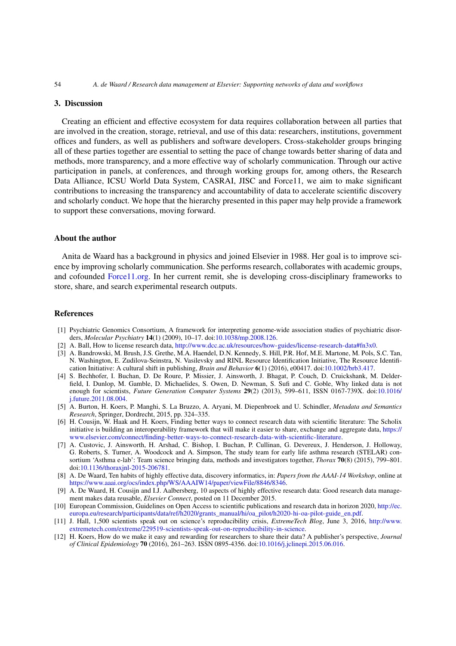### **3. Discussion**

Creating an efficient and effective ecosystem for data requires collaboration between all parties that are involved in the creation, storage, retrieval, and use of this data: researchers, institutions, government offices and funders, as well as publishers and software developers. Cross-stakeholder groups bringing all of these parties together are essential to setting the pace of change towards better sharing of data and methods, more transparency, and a more effective way of scholarly communication. Through our active participation in panels, at conferences, and through working groups for, among others, the Research Data Alliance, ICSU World Data System, CASRAI, JISC and Force11, we aim to make significant contributions to increasing the transparency and accountability of data to accelerate scientific discovery and scholarly conduct. We hope that the hierarchy presented in this paper may help provide a framework to support these conversations, moving forward.

# **About the author**

Anita de Waard has a background in physics and joined Elsevier in 1988. Her goal is to improve science by improving scholarly communication. She performs research, collaborates with academic groups, and cofounded [Force11.org.](http://Force11.org) In her current remit, she is developing cross-disciplinary frameworks to store, share, and search experimental research outputs.

## **References**

- <span id="page-5-1"></span>[1] Psychiatric Genomics Consortium, A framework for interpreting genome-wide association studies of psychiatric disorders, *Molecular Psychiatry* **14**(1) (2009), 10–17. doi[:10.1038/mp.2008.126.](http://dx.doi.org/10.1038/mp.2008.126)
- <span id="page-5-11"></span>[2] A. Ball, How to license research data, [http://www.dcc.ac.uk/resources/how-guides/license-research-data#fn3x0.](http://www.dcc.ac.uk/resources/how-guides/license-research-data#fn3x0)
- <span id="page-5-10"></span>[3] A. Bandrowski, M. Brush, J.S. Grethe, M.A. Haendel, D.N. Kennedy, S. Hill, P.R. Hof, M.E. Martone, M. Pols, S.C. Tan, N. Washington, E. Zudilova-Seinstra, N. Vasilevsky and RINL Resource Identification Initiative, The Resource Identification Initiative: A cultural shift in publishing, *Brain and Behavior* **6**(1) (2016), e00417. doi[:10.1002/brb3.417.](http://dx.doi.org/10.1002/brb3.417)
- <span id="page-5-0"></span>[4] S. Bechhofer, I. Buchan, D. De Roure, P. Missier, J. Ainsworth, J. Bhagat, P. Couch, D. Cruickshank, M. Delderfield, I. Dunlop, M. Gamble, D. Michaelides, S. Owen, D. Newman, S. Sufi and C. Goble, Why linked data is not enough for scientists, *Future Generation Computer Systems* **29**(2) (2013), 599–611, ISSN 0167-739X. doi[:10.1016/](http://dx.doi.org/10.1016/j.future.2011.08.004) [j.future.2011.08.004.](http://dx.doi.org/10.1016/j.future.2011.08.004)
- <span id="page-5-7"></span>[5] A. Burton, H. Koers, P. Manghi, S. La Bruzzo, A. Aryani, M. Diepenbroek and U. Schindler, *Metadata and Semantics Research*, Springer, Dordrecht, 2015, pp. 324–335.
- <span id="page-5-8"></span>[6] H. Cousijn, W. Haak and H. Koers, Finding better ways to connect research data with scientific literature: The Scholix initiative is building an interoperability framework that will make it easier to share, exchange and aggregate data, [https://](https://www.elsevier.com/connect/finding-better-ways-to-connect-research-data-with-scientific-literature) [www.elsevier.com/connect/finding-better-ways-to-connect-research-data-with-scientific-literature.](https://www.elsevier.com/connect/finding-better-ways-to-connect-research-data-with-scientific-literature)
- <span id="page-5-2"></span>[7] A. Custovic, J. Ainsworth, H. Arshad, C. Bishop, I. Buchan, P. Cullinan, G. Devereux, J. Henderson, J. Holloway, G. Roberts, S. Turner, A. Woodcock and A. Simpson, The study team for early life asthma research (STELAR) consortium 'Asthma e-lab': Team science bringing data, methods and investigators together, *Thorax* **70**(8) (2015), 799–801. doi[:10.1136/thoraxjnl-2015-206781.](http://dx.doi.org/10.1136/thoraxjnl-2015-206781)
- <span id="page-5-4"></span>[8] A. De Waard, Ten habits of highly effective data, discovery informatics, in: *Papers from the AAAI-14 Workshop*, online at [https://www.aaai.org/ocs/index.php/WS/AAAIW14/paper/viewFile/8846/8346.](https://www.aaai.org/ocs/index.php/WS/AAAIW14/paper/viewFile/8846/8346)
- <span id="page-5-6"></span>[9] A. De Waard, H. Cousijn and I.J. Aalbersberg, 10 aspects of highly effective research data: Good research data management makes data reusable, *Elsevier Connect*, posted on 11 December 2015.
- <span id="page-5-3"></span>[10] European Commission, Guidelines on Open Access to scientific publications and research data in horizon 2020, [http://ec.](http://ec.europa.eu/research/participants/data/ref/h2020/grants_manual/hi/oa_pilot/h2020-hi-oa-pilot-guide_en.pdf) [europa.eu/research/participants/data/ref/h2020/grants\\_manual/hi/oa\\_pilot/h2020-hi-oa-pilot-guide\\_en.pdf.](http://ec.europa.eu/research/participants/data/ref/h2020/grants_manual/hi/oa_pilot/h2020-hi-oa-pilot-guide_en.pdf)
- <span id="page-5-9"></span>[11] J. Hall, 1,500 scientists speak out on science's reproducibility crisis, *ExtremeTech Blog*, June 3, 2016, [http://www.](http://www.extremetech.com/extreme/229519-scientists-speak-out-on-reproducibility-in-science) [extremetech.com/extreme/229519-scientists-speak-out-on-reproducibility-in-science.](http://www.extremetech.com/extreme/229519-scientists-speak-out-on-reproducibility-in-science)
- <span id="page-5-5"></span>[12] H. Koers, How do we make it easy and rewarding for researchers to share their data? A publisher's perspective, *Journal of Clinical Epidemiology* **70** (2016), 261–263. ISSN 0895-4356. doi[:10.1016/j.jclinepi.2015.06.016.](http://dx.doi.org/10.1016/j.jclinepi.2015.06.016)